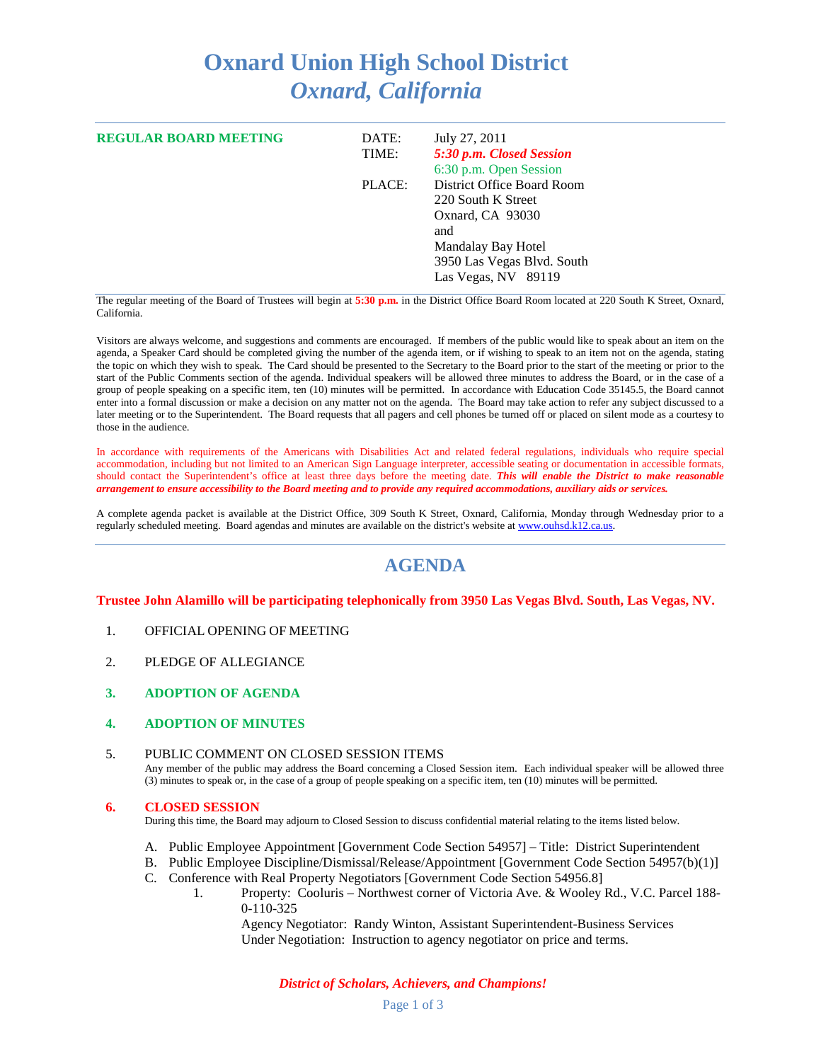## **Oxnard Union High School District** *Oxnard, California*

| <b>REGULAR BOARD MEETING</b> | DATE:<br>TIME: | July 27, 2011<br>5:30 p.m. Closed Session<br>6:30 p.m. Open Session                                                                                    |
|------------------------------|----------------|--------------------------------------------------------------------------------------------------------------------------------------------------------|
|                              | PLACE:         | District Office Board Room<br>220 South K Street<br>Oxnard, CA 93030<br>and<br>Mandalay Bay Hotel<br>3950 Las Vegas Blvd. South<br>Las Vegas, NV 89119 |

The regular meeting of the Board of Trustees will begin at **5:30 p.m.** in the District Office Board Room located at 220 South K Street, Oxnard, California.

Visitors are always welcome, and suggestions and comments are encouraged. If members of the public would like to speak about an item on the agenda, a Speaker Card should be completed giving the number of the agenda item, or if wishing to speak to an item not on the agenda, stating the topic on which they wish to speak. The Card should be presented to the Secretary to the Board prior to the start of the meeting or prior to the start of the Public Comments section of the agenda. Individual speakers will be allowed three minutes to address the Board, or in the case of a group of people speaking on a specific item, ten (10) minutes will be permitted. In accordance with Education Code 35145.5, the Board cannot enter into a formal discussion or make a decision on any matter not on the agenda. The Board may take action to refer any subject discussed to a later meeting or to the Superintendent. The Board requests that all pagers and cell phones be turned off or placed on silent mode as a courtesy to those in the audience.

In accordance with requirements of the Americans with Disabilities Act and related federal regulations, individuals who require special accommodation, including but not limited to an American Sign Language interpreter, accessible seating or documentation in accessible formats, should contact the Superintendent's office at least three days before the meeting date. *This will enable the District to make reasonable arrangement to ensure accessibility to the Board meeting and to provide any required accommodations, auxiliary aids or services.*

A complete agenda packet is available at the District Office, 309 South K Street, Oxnard, California, Monday through Wednesday prior to a regularly scheduled meeting. Board agendas and minutes are available on the district's website a[t www.ouhsd.k12.ca.us.](http://www.ouhsd.k12.ca.us/)

## **AGENDA**

#### **Trustee John Alamillo will be participating telephonically from 3950 Las Vegas Blvd. South, Las Vegas, NV.**

- 1. OFFICIAL OPENING OF MEETING
- 2. PLEDGE OF ALLEGIANCE
- **3. ADOPTION OF AGENDA**
- **4. ADOPTION OF MINUTES**

#### 5. PUBLIC COMMENT ON CLOSED SESSION ITEMS Any member of the public may address the Board concerning a Closed Session item. Each individual speaker will be allowed three (3) minutes to speak or, in the case of a group of people speaking on a specific item, ten (10) minutes will be permitted.

#### **6. CLOSED SESSION**

During this time, the Board may adjourn to Closed Session to discuss confidential material relating to the items listed below.

- A. Public Employee Appointment [Government Code Section 54957] Title: District Superintendent
- B. Public Employee Discipline/Dismissal/Release/Appointment [Government Code Section 54957(b)(1)]
- C. Conference with Real Property Negotiators [Government Code Section 54956.8]
	- 1. Property: Cooluris Northwest corner of Victoria Ave. & Wooley Rd., V.C. Parcel 188- 0-110-325

Agency Negotiator: Randy Winton, Assistant Superintendent-Business Services Under Negotiation: Instruction to agency negotiator on price and terms.

*District of Scholars, Achievers, and Champions!*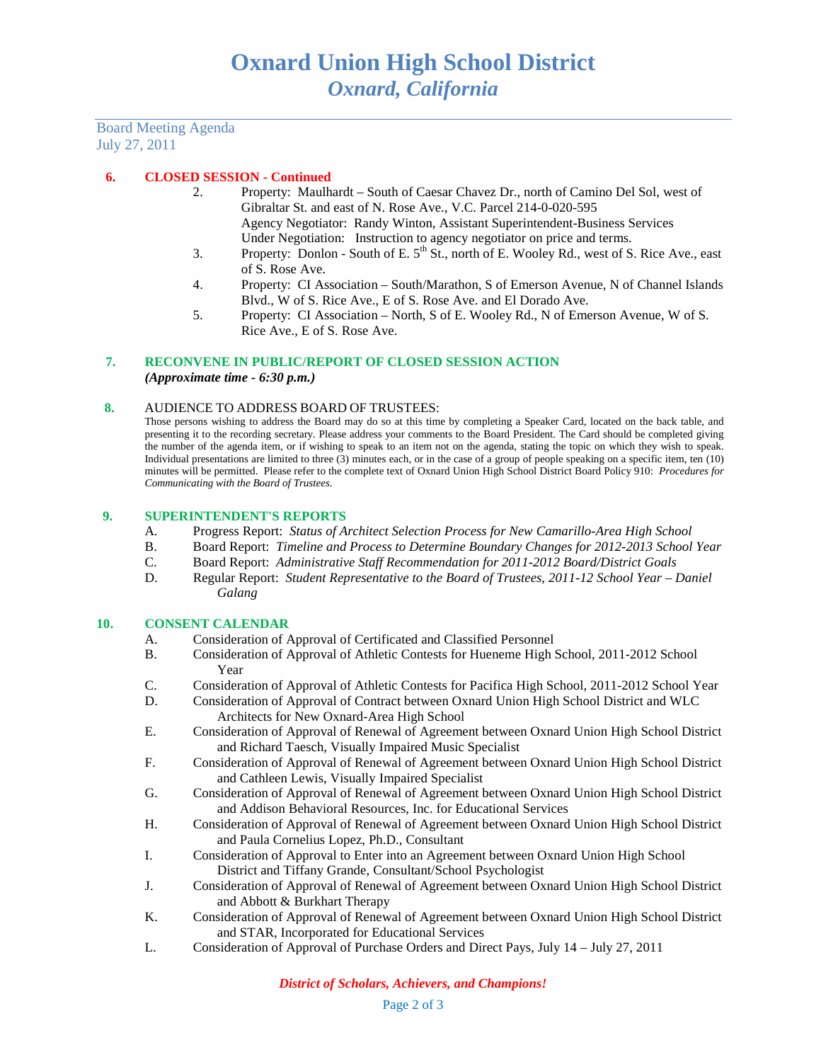Board Meeting Agenda July 27, 2011

### **6. CLOSED SESSION - Continued**

- 2. Property: Maulhardt South of Caesar Chavez Dr., north of Camino Del Sol, west of Gibraltar St. and east of N. Rose Ave., V.C. Parcel 214-0-020-595 Agency Negotiator: Randy Winton, Assistant Superintendent-Business Services Under Negotiation: Instruction to agency negotiator on price and terms.
- 3. Property: Donlon South of E.  $5<sup>th</sup>$  St., north of E. Wooley Rd., west of S. Rice Ave., east of S. Rose Ave.
- 4. Property: CI Association South/Marathon, S of Emerson Avenue, N of Channel Islands Blvd., W of S. Rice Ave., E of S. Rose Ave. and El Dorado Ave.
- 5. Property: CI Association North, S of E. Wooley Rd., N of Emerson Avenue, W of S. Rice Ave., E of S. Rose Ave.

### **7. RECONVENE IN PUBLIC/REPORT OF CLOSED SESSION ACTION**

*(Approximate time - 6:30 p.m.)*

#### **8.** AUDIENCE TO ADDRESS BOARD OF TRUSTEES:

Those persons wishing to address the Board may do so at this time by completing a Speaker Card, located on the back table, and presenting it to the recording secretary. Please address your comments to the Board President. The Card should be completed giving the number of the agenda item, or if wishing to speak to an item not on the agenda, stating the topic on which they wish to speak. Individual presentations are limited to three (3) minutes each, or in the case of a group of people speaking on a specific item, ten (10) minutes will be permitted. Please refer to the complete text of Oxnard Union High School District Board Policy 910: *Procedures for Communicating with the Board of Trustees*.

#### **9. SUPERINTENDENT'S REPORTS**

- A. Progress Report: *Status of Architect Selection Process for New Camarillo-Area High School*
- B. Board Report: *Timeline and Process to Determine Boundary Changes for 2012-2013 School Year*
- C. Board Report: *Administrative Staff Recommendation for 2011-2012 Board/District Goals*
- D. Regular Report: *Student Representative to the Board of Trustees, 2011-12 School Year – Daniel Galang*

#### **10. CONSENT CALENDAR**

- A. Consideration of Approval of Certificated and Classified Personnel
- B. Consideration of Approval of Athletic Contests for Hueneme High School, 2011-2012 School Year
- C. Consideration of Approval of Athletic Contests for Pacifica High School, 2011-2012 School Year
- D. Consideration of Approval of Contract between Oxnard Union High School District and WLC Architects for New Oxnard-Area High School
- E. Consideration of Approval of Renewal of Agreement between Oxnard Union High School District and Richard Taesch, Visually Impaired Music Specialist
- F. Consideration of Approval of Renewal of Agreement between Oxnard Union High School District and Cathleen Lewis, Visually Impaired Specialist
- G. Consideration of Approval of Renewal of Agreement between Oxnard Union High School District and Addison Behavioral Resources, Inc. for Educational Services
- H. Consideration of Approval of Renewal of Agreement between Oxnard Union High School District and Paula Cornelius Lopez, Ph.D., Consultant
- I. Consideration of Approval to Enter into an Agreement between Oxnard Union High School District and Tiffany Grande, Consultant/School Psychologist
- J. Consideration of Approval of Renewal of Agreement between Oxnard Union High School District and Abbott & Burkhart Therapy
- K. Consideration of Approval of Renewal of Agreement between Oxnard Union High School District and STAR, Incorporated for Educational Services
- L. Consideration of Approval of Purchase Orders and Direct Pays, July 14 July 27, 2011

#### *District of Scholars, Achievers, and Champions!*